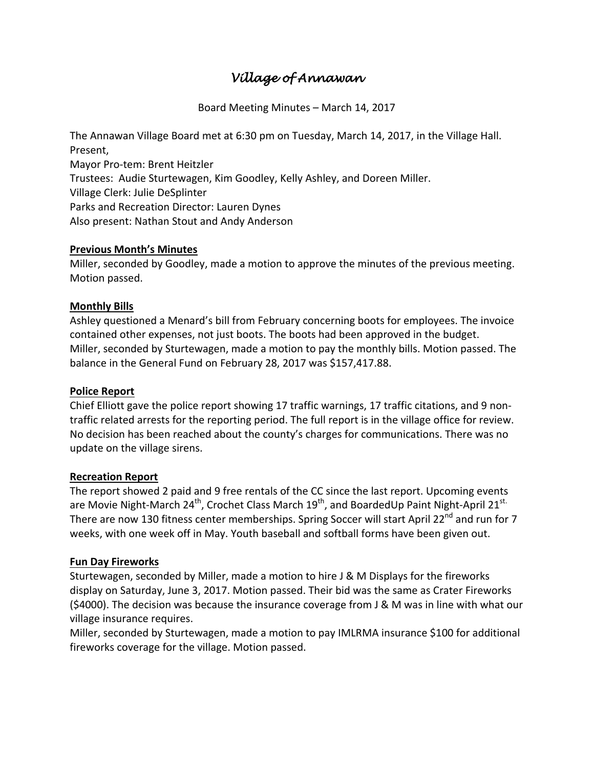# *Village of Annawan*

Board Meeting Minutes – March 14, 2017

The Annawan Village Board met at 6:30 pm on Tuesday, March 14, 2017, in the Village Hall. Present, Mayor Pro-tem: Brent Heitzler Trustees: Audie Sturtewagen, Kim Goodley, Kelly Ashley, and Doreen Miller. Village Clerk: Julie DeSplinter Parks and Recreation Director: Lauren Dynes Also present: Nathan Stout and Andy Anderson

### **Previous Month's Minutes**

Miller, seconded by Goodley, made a motion to approve the minutes of the previous meeting. Motion passed.

## **Monthly Bills**

Ashley questioned a Menard's bill from February concerning boots for employees. The invoice contained other expenses, not just boots. The boots had been approved in the budget. Miller, seconded by Sturtewagen, made a motion to pay the monthly bills. Motion passed. The balance in the General Fund on February 28, 2017 was \$157,417.88.

### **Police Report**

Chief Elliott gave the police report showing 17 traffic warnings, 17 traffic citations, and 9 nontraffic related arrests for the reporting period. The full report is in the village office for review. No decision has been reached about the county's charges for communications. There was no update on the village sirens.

### **Recreation Report**

The report showed 2 paid and 9 free rentals of the CC since the last report. Upcoming events are Movie Night-March 24<sup>th</sup>, Crochet Class March 19<sup>th</sup>, and BoardedUp Paint Night-April 21<sup>st.</sup> There are now 130 fitness center memberships. Spring Soccer will start April 22<sup>nd</sup> and run for 7 weeks, with one week off in May. Youth baseball and softball forms have been given out.

## **Fun Day Fireworks**

Sturtewagen, seconded by Miller, made a motion to hire J & M Displays for the fireworks display on Saturday, June 3, 2017. Motion passed. Their bid was the same as Crater Fireworks (\$4000). The decision was because the insurance coverage from J & M was in line with what our village insurance requires.

Miller, seconded by Sturtewagen, made a motion to pay IMLRMA insurance \$100 for additional fireworks coverage for the village. Motion passed.